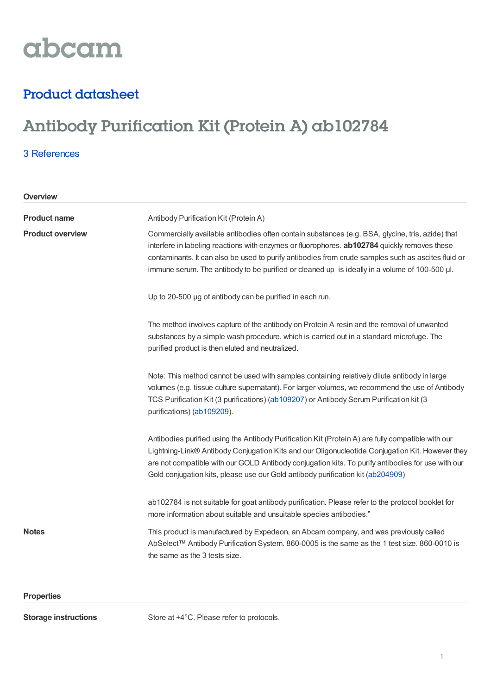

## Product datasheet

# Antibody Purification Kit (Protein A) ab102784

### 3 [References](https://www.abcam.com/antibody-purification-kit-protein-a-ab102784.html#description_references)

**Product name** Antibody Purification Kit (Protein A) **Product overview** Commercially available antibodies often contain substances (e.g. BSA, glycine, tris, azide) that interfere in labeling reactions with enzymes or fluorophores. **ab102784** quickly removes these contaminants. It can also be used to purify antibodies from crude samples such as ascites fluid or immune serum. The antibody to be purified or cleaned up is ideally in a volume of 100-500 ul. Up to 20-500 µg of antibody can be purified in each run. The method involves capture of the antibody on Protein A resin and the removal of unwanted substances by a simple wash procedure, which is carried out in a standard microfuge. The purified product is then eluted and neutralized. Note: This method cannot be used with samples containing relatively dilute antibody in large volumes (e.g. tissue culture supernatant). For larger volumes, we recommend the use of Antibody TCS Purification Kit (3 purifications) [\(ab109207](https://www.abcam.com/ab109207.html)[\)](https://www.abcam.com/Antibody-TCS-Purification-kit-3-purifications-ab109207.html) or Antibody Serum Purification kit (3 purifications) [\(ab109209](https://www.abcam.com/ab109209.html)). Antibodies purified using the Antibody Purification Kit (Protein A) are fully compatible with our Lightning-Link® Antibody Conjugation Kits and our Oligonucleotide Conjugation Kit. However they are not compatible with our GOLD Antibody conjugation kits. To purify antibodies for use with our Gold conjugation kits, please use our Gold antibody purification kit [\(ab204909](https://www.abcam.com/ab204909.html)) ab102784 is not suitable for goat antibody purification. Please refer to the protocol booklet for more information about suitable and unsuitable species antibodies." **Notes** This product is manufactured by Expedeon, an Abcam company, and was previously called AbSelect™ Antibody Purification System. 860-0005 is the same as the 1 test size. 860-0010 is the same as the 3 tests size. **Overview**

#### **Properties**

**Storage instructions** Store at +4°C. Please refer to protocols.